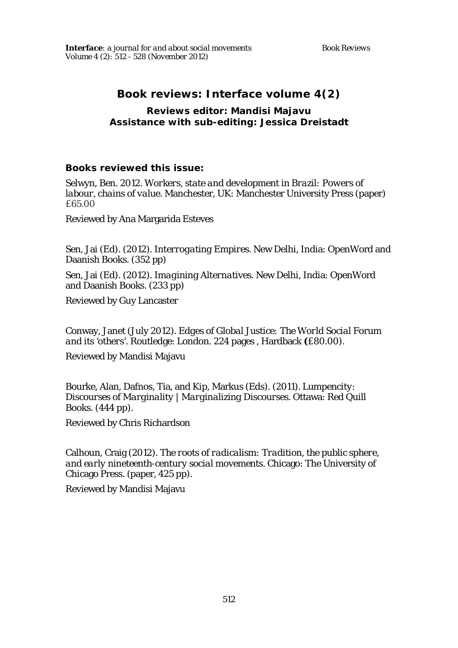# **Book reviews:** *Interface* **volume 4(2)**

### **Reviews editor: Mandisi Majavu Assistance with sub-editing: Jessica Dreistadt**

# **Books reviewed this issue:**

Selwyn, Ben. 2012. *Workers, state and development in Brazil: Powers of labour, chains of value*. Manchester, UK: Manchester University Press (paper) £65.00

Reviewed by Ana Margarida Esteves

Sen, Jai (Ed). (2012). *Interrogating Empires*. New Delhi, India: OpenWord and Daanish Books. (352 pp)

Sen, Jai (Ed). (2012). *Imagining Alternatives*. New Delhi, India: OpenWord and Daanish Books. (233 pp)

Reviewed by Guy Lancaster

Conway, Janet (July 2012). *Edges of Global Justice: The World Social Forum and its 'others'*. Routledge: London. 224 pages , Hardback **(**£80.00).

Reviewed by Mandisi Majavu

Bourke, Alan, Dafnos, Tia, and Kip, Markus (Eds). (2011). *Lumpencity: Discourses of Marginality | Marginalizing Discourses*. Ottawa: Red Quill Books. (444 pp).

Reviewed by Chris Richardson

Calhoun, Craig (2012). *The roots of radicalism: Tradition, the public sphere, and early nineteenth-century social movements*. Chicago: The University of Chicago Press. (paper, 425 pp).

Reviewed by Mandisi Majavu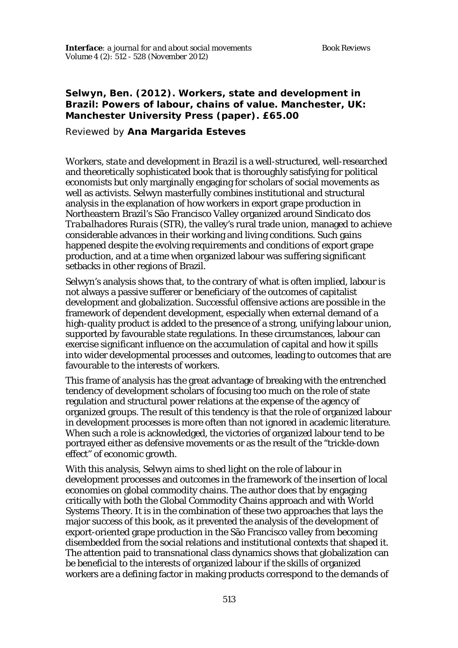# **Selwyn, Ben. (2012).** *Workers, state and development in Brazil: Powers of labour, chains of value***. Manchester, UK: Manchester University Press (paper). £65.00**

Reviewed by **Ana Margarida Esteves**

*Workers, state and development in Brazil* is a well-structured, well-researched and theoretically sophisticated book that is thoroughly satisfying for political economists but only marginally engaging for scholars of social movements as well as activists. Selwyn masterfully combines institutional and structural analysis in the explanation of how workers in export grape production in Northeastern Brazil's São Francisco Valley organized around *Sindicato dos Trabalhadores Rurais* (STR), the valley's rural trade union, managed to achieve considerable advances in their working and living conditions. Such gains happened despite the evolving requirements and conditions of export grape production, and at a time when organized labour was suffering significant setbacks in other regions of Brazil.

Selwyn's analysis shows that, to the contrary of what is often implied, labour is not always a passive sufferer or beneficiary of the outcomes of capitalist development and globalization. Successful offensive actions are possible in the framework of dependent development, especially when external demand of a high-quality product is added to the presence of a strong, unifying labour union, supported by favourable state regulations. In these circumstances, labour can exercise significant influence on the accumulation of capital and how it spills into wider developmental processes and outcomes, leading to outcomes that are favourable to the interests of workers.

This frame of analysis has the great advantage of breaking with the entrenched tendency of development scholars of focusing too much on the role of state regulation and structural power relations at the expense of the agency of organized groups. The result of this tendency is that the role of organized labour in development processes is more often than not ignored in academic literature. When such a role is acknowledged, the victories of organized labour tend to be portrayed either as defensive movements or as the result of the "trickle-down effect" of economic growth.

With this analysis, Selwyn aims to shed light on the role of labour in development processes and outcomes in the framework of the insertion of local economies on global commodity chains. The author does that by engaging critically with both the Global Commodity Chains approach and with World Systems Theory. It is in the combination of these two approaches that lays the major success of this book, as it prevented the analysis of the development of export-oriented grape production in the São Francisco valley from becoming disembedded from the social relations and institutional contexts that shaped it. The attention paid to transnational class dynamics shows that globalization can be beneficial to the interests of organized labour if the skills of organized workers are a defining factor in making products correspond to the demands of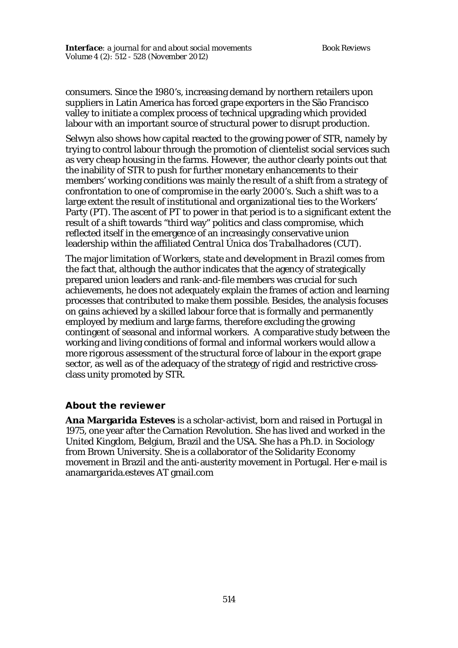consumers. Since the 1980's, increasing demand by northern retailers upon suppliers in Latin America has forced grape exporters in the São Francisco valley to initiate a complex process of technical upgrading which provided labour with an important source of structural power to disrupt production.

Selwyn also shows how capital reacted to the growing power of STR, namely by trying to control labour through the promotion of clientelist social services such as very cheap housing in the farms. However, the author clearly points out that the inability of STR to push for further monetary enhancements to their members' working conditions was mainly the result of a shift from a strategy of confrontation to one of compromise in the early 2000's. Such a shift was to a large extent the result of institutional and organizational ties to the Workers' Party (PT). The ascent of PT to power in that period is to a significant extent the result of a shift towards "third way" politics and class compromise, which reflected itself in the emergence of an increasingly conservative union leadership within the affiliated *Central Única dos Trabalhadores* (CUT).

The major limitation of *Workers, state and development in Brazil* comes from the fact that, although the author indicates that the agency of strategically prepared union leaders and rank-and-file members was crucial for such achievements, he does not adequately explain the frames of action and learning processes that contributed to make them possible. Besides, the analysis focuses on gains achieved by a skilled labour force that is formally and permanently employed by medium and large farms, therefore excluding the growing contingent of seasonal and informal workers. A comparative study between the working and living conditions of formal and informal workers would allow a more rigorous assessment of the structural force of labour in the export grape sector, as well as of the adequacy of the strategy of rigid and restrictive crossclass unity promoted by STR.

### **About the reviewer**

**Ana Margarida Esteves** is a scholar-activist, born and raised in Portugal in 1975, one year after the Carnation Revolution. She has lived and worked in the United Kingdom, Belgium, Brazil and the USA. She has a Ph.D. in Sociology from Brown University. She is a collaborator of the Solidarity Economy movement in Brazil and the anti-austerity movement in Portugal. Her e-mail is anamargarida.esteves AT gmail.com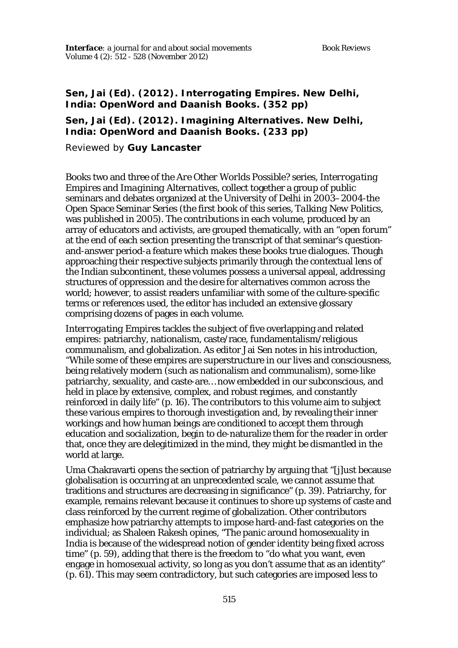### **Sen, Jai (Ed). (2012).** *Interrogating Empires***. New Delhi, India: OpenWord and Daanish Books. (352 pp)**

## **Sen, Jai (Ed). (2012).** *Imagining Alternatives***. New Delhi, India: OpenWord and Daanish Books. (233 pp)**

Reviewed by **Guy Lancaster**

Books two and three of the *Are Other Worlds Possible?* series, *Interrogating Empires* and *Imagining Alternatives*, collect together a group of public seminars and debates organized at the University of Delhi in 2003–2004-the Open Space Seminar Series (the first book of this series, *Talking New Politics*, was published in 2005). The contributions in each volume, produced by an array of educators and activists, are grouped thematically, with an "open forum" at the end of each section presenting the transcript of that seminar's questionand-answer period-a feature which makes these books true dialogues. Though approaching their respective subjects primarily through the contextual lens of the Indian subcontinent, these volumes possess a universal appeal, addressing structures of oppression and the desire for alternatives common across the world; however, to assist readers unfamiliar with some of the culture-specific terms or references used, the editor has included an extensive glossary comprising dozens of pages in each volume.

*Interrogating Empires* tackles the subject of five overlapping and related empires: patriarchy, nationalism, caste/race, fundamentalism/religious communalism, and globalization. As editor Jai Sen notes in his introduction, "While some of these empires are superstructure in our lives and consciousness, being relatively modern (such as nationalism and communalism), some-like patriarchy, sexuality, and caste-are… now embedded in our subconscious, and held in place by extensive, complex, and robust regimes, and constantly reinforced in daily life" (p. 16). The contributors to this volume aim to subject these various empires to thorough investigation and, by revealing their inner workings and how human beings are conditioned to accept them through education and socialization, begin to de-naturalize them for the reader in order that, once they are delegitimized in the mind, they might be dismantled in the world at large.

Uma Chakravarti opens the section of patriarchy by arguing that "[j]ust because globalisation is occurring at an unprecedented scale, we cannot assume that traditions and structures are decreasing in significance" (p. 39). Patriarchy, for example, remains relevant because it continues to shore up systems of caste and class reinforced by the current regime of globalization. Other contributors emphasize how patriarchy attempts to impose hard-and-fast categories on the individual; as Shaleen Rakesh opines, "The panic around homosexuality in India is because of the widespread notion of gender identity being fixed across time" (p. 59), adding that there is the freedom to "do what you want, even engage in homosexual activity, so long as you don't assume that as an identity" (p. 61). This may seem contradictory, but such categories are imposed less to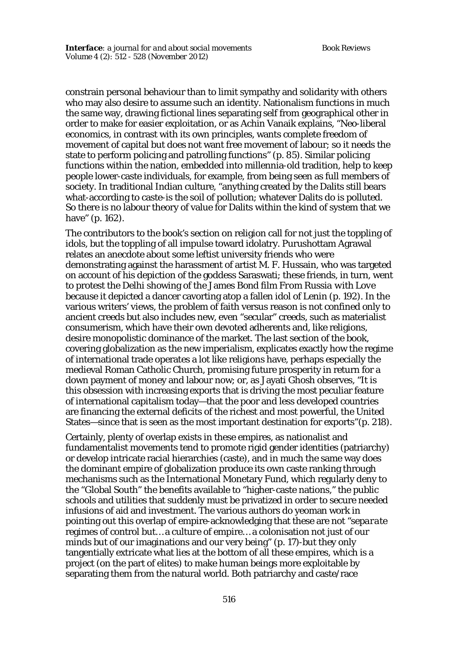constrain personal behaviour than to limit sympathy and solidarity with others who may also desire to assume such an identity. Nationalism functions in much the same way, drawing fictional lines separating self from geographical other in order to make for easier exploitation, or as Achin Vanaik explains, "Neo-liberal economics, in contrast with its own principles, wants complete freedom of movement of capital but does not want free movement of labour; so it needs the state to perform policing and patrolling functions" (p. 85). Similar policing functions within the nation, embedded into millennia-old tradition, help to keep people lower-caste individuals, for example, from being seen as full members of society. In traditional Indian culture, "anything created by the Dalits still bears what-according to caste-is the soil of pollution; whatever Dalits do is polluted. So there is no labour theory of value for Dalits within the kind of system that we have" (p. 162).

The contributors to the book's section on religion call for not just the toppling of idols, but the toppling of all impulse toward idolatry. Purushottam Agrawal relates an anecdote about some leftist university friends who were demonstrating against the harassment of artist M. F. Hussain, who was targeted on account of his depiction of the goddess Saraswati; these friends, in turn, went to protest the Delhi showing of the James Bond film *From Russia with Love* because it depicted a dancer cavorting atop a fallen idol of Lenin (p. 192). In the various writers' views, the problem of faith versus reason is not confined only to ancient creeds but also includes new, even "secular" creeds, such as materialist consumerism, which have their own devoted adherents and, like religions, desire monopolistic dominance of the market. The last section of the book, covering globalization as the new imperialism, explicates exactly how the regime of international trade operates a lot like religions have, perhaps especially the medieval Roman Catholic Church, promising future prosperity in return for a down payment of money and labour now; or, as Jayati Ghosh observes, "It is this obsession with increasing exports that is driving the most peculiar feature of international capitalism today—that the poor and less developed countries are financing the external deficits of the richest and most powerful, the United States—since that is seen as the most important destination for exports"(p. 218).

Certainly, plenty of overlap exists in these empires, as nationalist and fundamentalist movements tend to promote rigid gender identities (patriarchy) or develop intricate racial hierarchies (caste), and in much the same way does the dominant empire of globalization produce its own caste ranking through mechanisms such as the International Monetary Fund, which regularly deny to the "Global South" the benefits available to "higher-caste nations," the public schools and utilities that suddenly must be privatized in order to secure needed infusions of aid and investment. The various authors do yeoman work in pointing out this overlap of empire-acknowledging that these are not "*separate* regimes of control but… a *culture* of empire… a colonisation not just of our minds but of our imaginations and our very being" (p. 17)-but they only tangentially extricate what lies at the bottom of all these empires, which is a project (on the part of elites) to make human beings more exploitable by separating them from the natural world. Both patriarchy and caste/race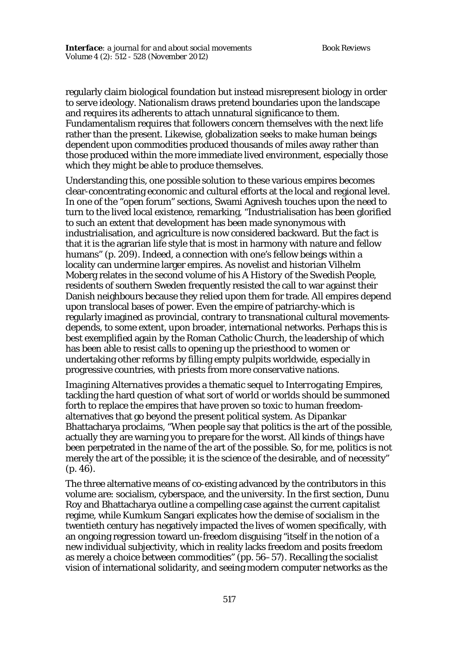regularly claim biological foundation but instead misrepresent biology in order to serve ideology. Nationalism draws pretend boundaries upon the landscape and requires its adherents to attach unnatural significance to them. Fundamentalism requires that followers concern themselves with the next life rather than the present. Likewise, globalization seeks to make human beings dependent upon commodities produced thousands of miles away rather than those produced within the more immediate lived environment, especially those which they might be able to produce themselves.

Understanding this, one possible solution to these various empires becomes clear-concentrating economic and cultural efforts at the local and regional level. In one of the "open forum" sections, Swami Agnivesh touches upon the need to turn to the lived local existence, remarking, "Industrialisation has been glorified to such an extent that development has been made synonymous with industrialisation, and agriculture is now considered backward. But the fact is that it is the agrarian life style that is most in harmony with nature and fellow humans" (p. 209). Indeed, a connection with one's fellow beings within a locality can undermine larger empires. As novelist and historian Vilhelm Moberg relates in the second volume of his *A History of the Swedish People*, residents of southern Sweden frequently resisted the call to war against their Danish neighbours because they relied upon them for trade. All empires depend upon translocal bases of power. Even the empire of patriarchy-which is regularly imagined as provincial, contrary to transnational cultural movementsdepends, to some extent, upon broader, international networks. Perhaps this is best exemplified again by the Roman Catholic Church, the leadership of which has been able to resist calls to opening up the priesthood to women or undertaking other reforms by filling empty pulpits worldwide, especially in progressive countries, with priests from more conservative nations.

*Imagining Alternatives* provides a thematic sequel to *Interrogating Empires*, tackling the hard question of what sort of world or worlds should be summoned forth to replace the empires that have proven so toxic to human freedomalternatives that go beyond the present political system. As Dipankar Bhattacharya proclaims, "When people say that politics is the art of the possible, actually they are warning you to prepare for the worst. All kinds of things have been perpetrated in the name of the art of the possible. So, for me, politics is not merely the art of the possible; it is the science of the desirable, and of necessity" (p. 46).

The three alternative means of co-existing advanced by the contributors in this volume are: socialism, cyberspace, and the university. In the first section, Dunu Roy and Bhattacharya outline a compelling case against the current capitalist regime, while Kumkum Sangari explicates how the demise of socialism in the twentieth century has negatively impacted the lives of women specifically, with an ongoing regression toward un-freedom disguising "itself in the notion of a new individual subjectivity, which in reality lacks freedom and posits freedom as merely a choice between commodities" (pp. 56–57). Recalling the socialist vision of international solidarity, and seeing modern computer networks as the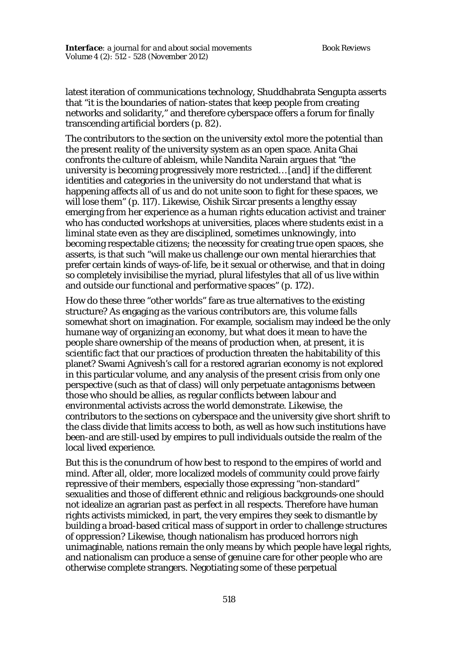latest iteration of communications technology, Shuddhabrata Sengupta asserts that "it is the boundaries of nation-states that keep people from creating networks and solidarity," and therefore cyberspace offers a forum for finally transcending artificial borders (p. 82).

The contributors to the section on the university extol more the potential than the present reality of the university system as an open space. Anita Ghai confronts the culture of ableism, while Nandita Narain argues that "the university is becoming progressively more restricted… [and] if the different identities and categories in the university do not understand that what is happening affects all of us and do not unite soon to fight for these spaces, we will lose them" (p. 117). Likewise, Oishik Sircar presents a lengthy essay emerging from her experience as a human rights education activist and trainer who has conducted workshops at universities, places where students exist in a liminal state even as they are disciplined, sometimes unknowingly, into becoming respectable citizens; the necessity for creating true open spaces, she asserts, is that such "will make us challenge our own mental hierarchies that prefer certain kinds of ways-of-life, be it sexual or otherwise, and that in doing so completely invisibilise the myriad, plural lifestyles that all of us live within and outside our functional and performative spaces" (p. 172).

How do these three "other worlds" fare as true alternatives to the existing structure? As engaging as the various contributors are, this volume falls somewhat short on imagination. For example, socialism may indeed be the only humane way of organizing an economy, but what does it mean to have the people share ownership of the means of production when, at present, it is scientific fact that our practices of production threaten the habitability of this planet? Swami Agnivesh's call for a restored agrarian economy is not explored in this particular volume, and any analysis of the present crisis from only one perspective (such as that of class) will only perpetuate antagonisms between those who should be allies, as regular conflicts between labour and environmental activists across the world demonstrate. Likewise, the contributors to the sections on cyberspace and the university give short shrift to the class divide that limits access to both, as well as how such institutions have been-and are still-used by empires to pull individuals outside the realm of the local lived experience.

But this is the conundrum of how best to respond to the empires of world and mind. After all, older, more localized models of community could prove fairly repressive of their members, especially those expressing "non-standard" sexualities and those of different ethnic and religious backgrounds-one should not idealize an agrarian past as perfect in all respects. Therefore have human rights activists mimicked, in part, the very empires they seek to dismantle by building a broad-based critical mass of support in order to challenge structures of oppression? Likewise, though nationalism has produced horrors nigh unimaginable, nations remain the only means by which people have legal rights, and nationalism can produce a sense of genuine care for other people who are otherwise complete strangers. Negotiating some of these perpetual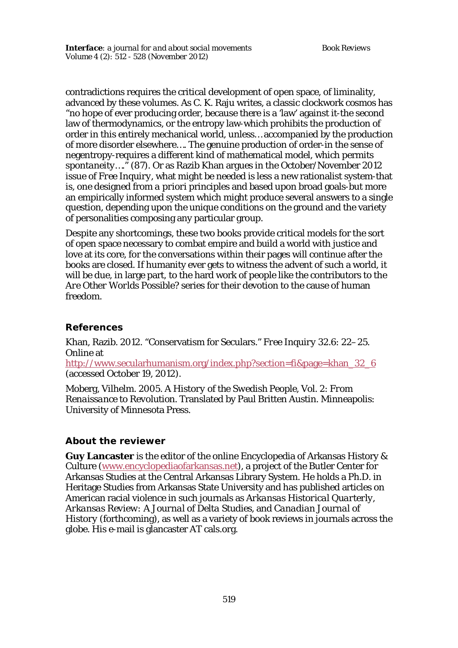contradictions requires the critical development of open space, of liminality, advanced by these volumes. As C. K. Raju writes, a classic clockwork cosmos has "no hope of ever producing order, because there is a 'law' against it-the second law of thermodynamics, or the entropy law-which prohibits the production of order in this entirely mechanical world, unless… accompanied by the production of more disorder elsewhere…. The genuine production of order-in the sense of negentropy-requires a different kind of mathematical model, which permits *spontaneity*…." (87). Or as Razib Khan argues in the October/November 2012 issue of *Free Inquiry*, what might be needed is less a new rationalist system-that is, one designed from *a priori* principles and based upon broad goals-but more an empirically informed system which might produce several answers to a single question, depending upon the unique conditions on the ground and the variety of personalities composing any particular group.

Despite any shortcomings, these two books provide critical models for the sort of open space necessary to combat empire and build a world with justice and love at its core, for the conversations within their pages will continue after the books are closed. If humanity ever gets to witness the advent of such a world, it will be due, in large part, to the hard work of people like the contributors to the *Are Other Worlds Possible?* series for their devotion to the cause of human freedom.

### **References**

Khan, Razib. 2012. "Conservatism for Seculars." *Free Inquiry* 32.6: 22–25. Online at http://www.secularhumanism.org/index.php?section=fi&page=khan\_32\_6 (accessed October 19, 2012).

Moberg, Vilhelm. 2005. *A History of the Swedish People*, Vol. 2: *From Renaissance to Revolution*. Translated by Paul Britten Austin. Minneapolis: University of Minnesota Press.

# **About the reviewer**

**Guy Lancaster** is the editor of the online Encyclopedia of Arkansas History & Culture (www.encyclopediaofarkansas.net), a project of the Butler Center for Arkansas Studies at the Central Arkansas Library System. He holds a Ph.D. in Heritage Studies from Arkansas State University and has published articles on American racial violence in such journals as *Arkansas Historical Quarterly*, *Arkansas Review: A Journal of Delta Studies*, and *Canadian Journal of History* (forthcoming), as well as a variety of book reviews in journals across the globe. His e-mail is glancaster AT cals.org.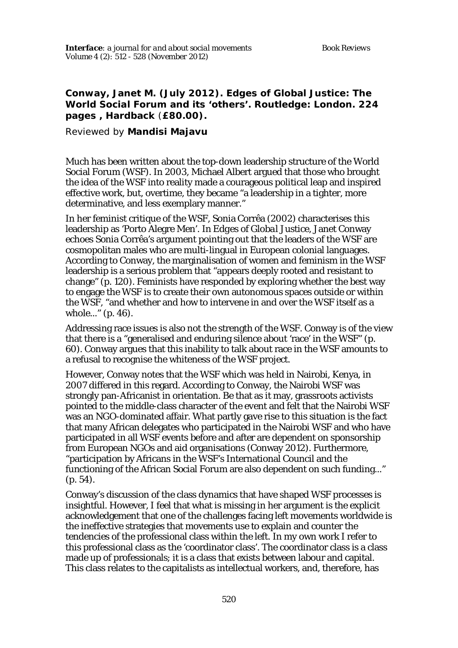# **Conway, Janet M. (July 2012). Edges of Global Justice: The World Social Forum and its 'others'. Routledge: London. 224 pages , Hardback** (**£80.00).**

#### Reviewed by **Mandisi Majavu**

Much has been written about the top-down leadership structure of the World Social Forum (WSF). In 2003, Michael Albert argued that those who brought the idea of the WSF into reality made a courageous political leap and inspired effective work, but, overtime, they became "a leadership in a tighter, more determinative, and less exemplary manner."

In her feminist critique of the WSF, Sonia Corrêa (2002) characterises this leadership as 'Porto Alegre Men'. In *Edges of Global Justice*, Janet Conway echoes Sonia Corrêa's argument pointing out that the leaders of the WSF are cosmopolitan males who are multi-lingual in European colonial languages. According to Conway, the marginalisation of women and feminism in the WSF leadership is a serious problem that "appears deeply rooted and resistant to change" (p. 120). Feminists have responded by exploring whether the best way to engage the WSF is to create their own autonomous spaces outside or within the WSF, "and whether and how to intervene in and over the WSF itself as a whole..." (p. 46).

Addressing race issues is also not the strength of the WSF. Conway is of the view that there is a "generalised and enduring silence about 'race' in the WSF" (p. 60). Conway argues that this inability to talk about race in the WSF amounts to a refusal to recognise the whiteness of the WSF project.

However, Conway notes that the WSF which was held in Nairobi, Kenya, in 2007 differed in this regard. According to Conway, the Nairobi WSF was strongly pan-Africanist in orientation. Be that as it may, grassroots activists pointed to the middle-class character of the event and felt that the Nairobi WSF was an NGO-dominated affair. What partly gave rise to this situation is the fact that many African delegates who participated in the Nairobi WSF and who have participated in all WSF events before and after are dependent on sponsorship from European NGOs and aid organisations (Conway 2012). Furthermore, "participation by Africans in the WSF's International Council and the functioning of the African Social Forum are also dependent on such funding..." (p. 54).

Conway's discussion of the class dynamics that have shaped WSF processes is insightful. However, I feel that what is missing in her argument is the explicit acknowledgement that one of the challenges facing left movements worldwide is the ineffective strategies that movements use to explain and counter the tendencies of the professional class within the left. In my own work I refer to this professional class as the 'coordinator class'. The coordinator class is a class made up of professionals; it is a class that exists between labour and capital. This class relates to the capitalists as intellectual workers, and, therefore, has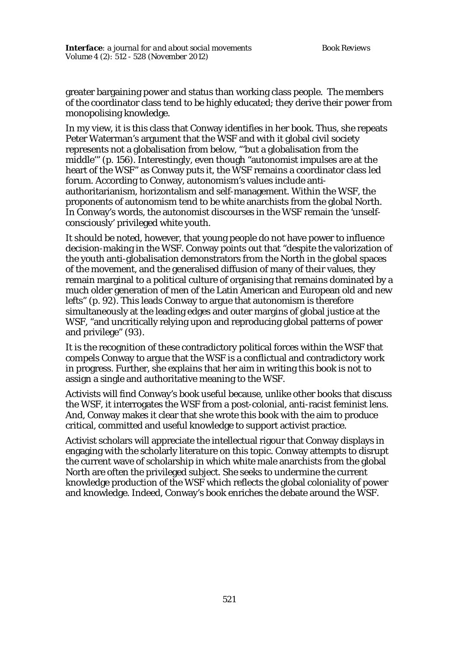greater bargaining power and status than working class people. The members of the coordinator class tend to be highly educated; they derive their power from monopolising knowledge.

In my view, it is this class that Conway identifies in her book. Thus, she repeats Peter Waterman's argument that the WSF and with it global civil society represents not a globalisation from below, "'but a globalisation from the middle'" (p. 156). Interestingly, even though "autonomist impulses are at the heart of the WSF" as Conway puts it, the WSF remains a coordinator class led forum. According to Conway, autonomism's values include antiauthoritarianism, horizontalism and self-management. Within the WSF, the proponents of autonomism tend to be white anarchists from the global North. In Conway's words, the autonomist discourses in the WSF remain the 'unselfconsciously' privileged white youth.

It should be noted, however, that young people do not have power to influence decision-making in the WSF. Conway points out that "despite the valorization of the youth anti-globalisation demonstrators from the North in the global spaces of the movement, and the generalised diffusion of many of their values, they remain marginal to a political culture of organising that remains dominated by a much older generation of men of the Latin American and European old and new lefts" (p. 92). This leads Conway to argue that autonomism is therefore simultaneously at the leading edges and outer margins of global justice at the WSF, "and uncritically relying upon and reproducing global patterns of power and privilege" (93).

It is the recognition of these contradictory political forces within the WSF that compels Conway to argue that the WSF is a conflictual and contradictory work in progress. Further, she explains that her aim in writing this book is not to assign a single and authoritative meaning to the WSF.

Activists will find Conway's book useful because, unlike other books that discuss the WSF, it interrogates the WSF from a post-colonial, anti-racist feminist lens. And, Conway makes it clear that she wrote this book with the aim to produce critical, committed and useful knowledge to support activist practice.

Activist scholars will appreciate the intellectual rigour that Conway displays in engaging with the scholarly literature on this topic. Conway attempts to disrupt the current wave of scholarship in which white male anarchists from the global North are often the privileged subject. She seeks to undermine the current knowledge production of the WSF which reflects the global coloniality of power and knowledge. Indeed, Conway's book enriches the debate around the WSF.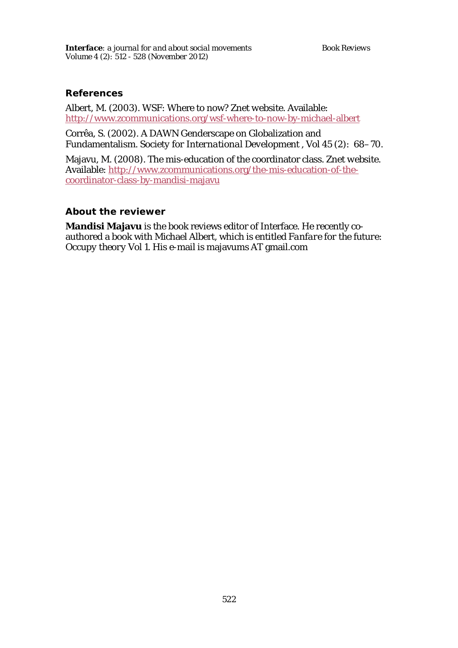#### **References**

Albert, M. (2003). WSF: Where to now? *Znet website*. Available: http://www.zcommunications.org/wsf-where-to-now-by-michael-albert

Corrêa, S. (2002). A DAWN Genderscape on Globalization and Fundamentalism. *Society for International Development* , Vol 45 (2): 68–70.

Majavu, M. (2008). The mis-education of the coordinator class. *Znet website.* Available: http://www.zcommunications.org/the-mis-education-of-thecoordinator-class-by-mandisi-majavu

### **About the reviewer**

**Mandisi Majavu** is the book reviews editor of Interface. He recently coauthored a book with Michael Albert, which is entitled *Fanfare for the future: Occupy theory Vol 1*. His e-mail is majavums AT gmail.com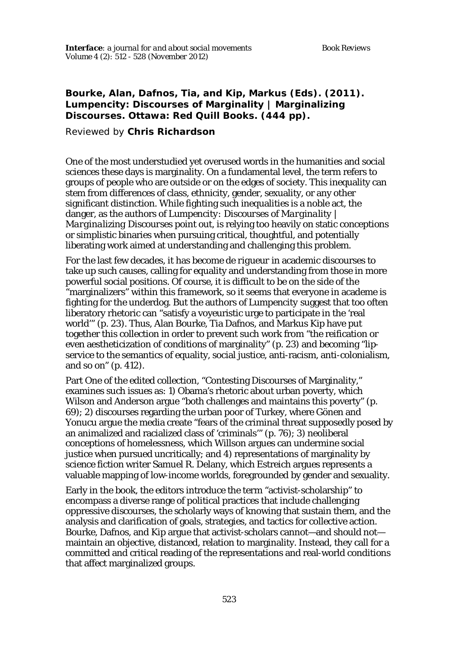# **Bourke, Alan, Dafnos, Tia, and Kip, Markus (Eds). (2011).**  *Lumpencity: Discourses of Marginality | Marginalizing Discourses***. Ottawa: Red Quill Books. (444 pp).**

### Reviewed by **Chris Richardson**

One of the most understudied yet overused words in the humanities and social sciences these days is marginality. On a fundamental level, the term refers to groups of people who are outside or on the edges of society. This inequality can stem from differences of class, ethnicity, gender, sexuality, or any other significant distinction. While fighting such inequalities is a noble act, the danger, as the authors of *Lumpencity: Discourses of Marginality | Marginalizing Discourses* point out, is relying too heavily on static conceptions or simplistic binaries when pursuing critical, thoughtful, and potentially liberating work aimed at understanding and challenging this problem.

For the last few decades, it has become *de rigueur* in academic discourses to take up such causes, calling for equality and understanding from those in more powerful social positions. Of course, it is difficult to be on the side of the "marginalizers" within this framework, so it seems that everyone in academe is fighting for the underdog. But the authors of *Lumpencity* suggest that too often liberatory rhetoric can "satisfy a voyeuristic urge to participate in the 'real world'" (p. 23). Thus, Alan Bourke, Tia Dafnos, and Markus Kip have put together this collection in order to prevent such work from "the reification or even aestheticization of conditions of marginality" (p. 23) and becoming "lipservice to the semantics of equality, social justice, anti-racism, anti-colonialism, and so on" (p. 412).

Part One of the edited collection, "Contesting Discourses of Marginality," examines such issues as: 1) Obama's rhetoric about urban poverty, which Wilson and Anderson argue "both challenges and maintains this poverty" (p. 69); 2) discourses regarding the urban poor of Turkey, where Gönen and Yonucu argue the media create "fears of the criminal threat supposedly posed by an animalized and racialized class of 'criminals'" (p. 76); 3) neoliberal conceptions of homelessness, which Willson argues can undermine social justice when pursued uncritically; and 4) representations of marginality by science fiction writer Samuel R. Delany, which Estreich argues represents a valuable mapping of low-income worlds, foregrounded by gender and sexuality.

Early in the book, the editors introduce the term "activist-scholarship" to encompass a diverse range of political practices that include challenging oppressive discourses, the scholarly ways of knowing that sustain them, and the analysis and clarification of goals, strategies, and tactics for collective action. Bourke, Dafnos, and Kip argue that activist-scholars cannot—and should not maintain an objective, distanced, relation to marginality. Instead, they call for a committed and critical reading of the representations and real-world conditions that affect marginalized groups.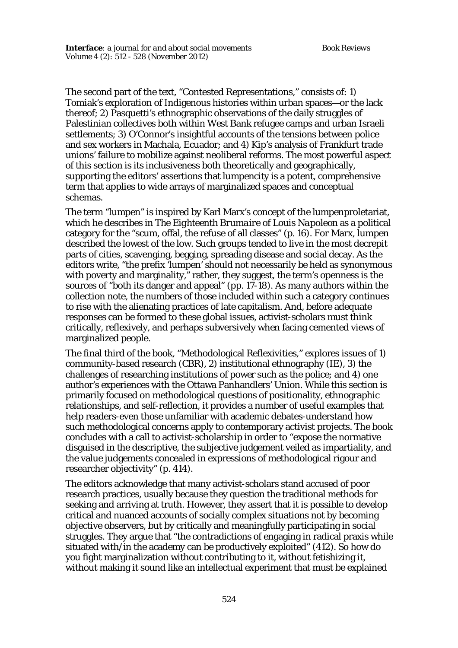The second part of the text, "Contested Representations," consists of: 1) Tomiak's exploration of Indigenous histories within urban spaces—or the lack thereof; 2) Pasquetti's ethnographic observations of the daily struggles of Palestinian collectives both within West Bank refugee camps and urban Israeli settlements; 3) O'Connor's insightful accounts of the tensions between police and sex workers in Machala, Ecuador; and 4) Kip's analysis of Frankfurt trade unions' failure to mobilize against neoliberal reforms. The most powerful aspect of this section is its inclusiveness both theoretically and geographically, supporting the editors' assertions that lumpencity is a potent, comprehensive term that applies to wide arrays of marginalized spaces and conceptual schemas.

The term "lumpen" is inspired by Karl Marx's concept of the lumpenproletariat, which he describes in *The Eighteenth Brumaire of Louis Napoleon* as a political category for the "scum, offal, the refuse of all classes" (p. 16). For Marx, lumpen described the lowest of the low. Such groups tended to live in the most decrepit parts of cities, scavenging, begging, spreading disease and social decay. As the editors write, "the prefix 'lumpen' should not necessarily be held as synonymous with poverty and marginality," rather, they suggest, the term's openness is the sources of "both its danger and appeal" (pp. 17-18). As many authors within the collection note, the numbers of those included within such a category continues to rise with the alienating practices of late capitalism. And, before adequate responses can be formed to these global issues, activist-scholars must think critically, reflexively, and perhaps subversively when facing cemented views of marginalized people.

The final third of the book, "Methodological Reflexivities," explores issues of 1) community-based research (CBR), 2) institutional ethnography (IE), 3) the challenges of researching institutions of power such as the police; and 4) one author's experiences with the Ottawa Panhandlers' Union. While this section is primarily focused on methodological questions of positionality, ethnographic relationships, and self-reflection, it provides a number of useful examples that help readers-even those unfamiliar with academic debates-understand how such methodological concerns apply to contemporary activist projects. The book concludes with a call to activist-scholarship in order to "expose the normative disguised in the descriptive, the subjective judgement veiled as impartiality, and the value judgements concealed in expressions of methodological rigour and researcher objectivity" (p. 414).

The editors acknowledge that many activist-scholars stand accused of poor research practices, usually because they question the traditional methods for seeking and arriving at truth. However, they assert that it is possible to develop critical and nuanced accounts of socially complex situations not by becoming objective observers, but by critically and meaningfully participating in social struggles. They argue that "the contradictions of engaging in radical praxis while situated with/in the academy can be productively exploited" (412). So how do you fight marginalization without contributing to it, without fetishizing it, without making it sound like an intellectual experiment that must be explained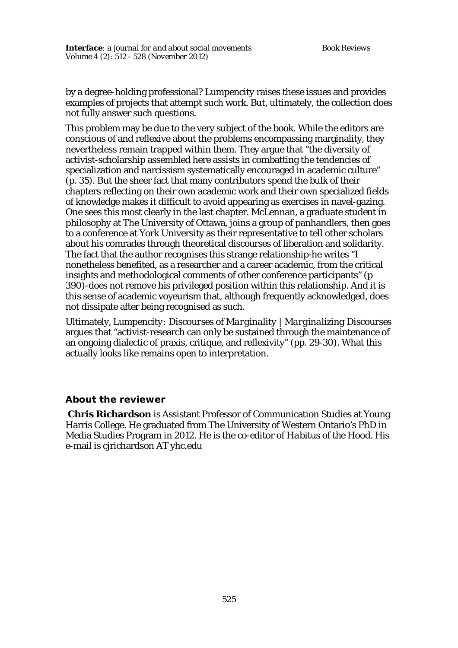by a degree-holding professional? *Lumpencity* raises these issues and provides examples of projects that attempt such work. But, ultimately, the collection does not fully answer such questions.

This problem may be due to the very subject of the book. While the editors are conscious of and reflexive about the problems encompassing marginality, they nevertheless remain trapped within them. They argue that "the diversity of activist-scholarship assembled here assists in combatting the tendencies of specialization and narcissism systematically encouraged in academic culture" (p. 35). But the sheer fact that many contributors spend the bulk of their chapters reflecting on their own academic work and their own specialized fields of knowledge makes it difficult to avoid appearing as exercises in navel-gazing. One sees this most clearly in the last chapter. McLennan, a graduate student in philosophy at The University of Ottawa, joins a group of panhandlers, then goes to a conference at York University as their representative to tell other scholars about his comrades through theoretical discourses of liberation and solidarity. The fact that the author recognises this strange relationship-he writes "I nonetheless benefited, as a researcher and a career academic, from the critical insights and methodological comments of other conference participants" (p 390)-does not remove his privileged position within this relationship. And it is this sense of academic voyeurism that, although frequently acknowledged, does not dissipate after being recognised as such.

Ultimately, *Lumpencity: Discourses of Marginality | Marginalizing Discourses* argues that "activist-research can only be sustained through the maintenance of an ongoing dialectic of praxis, critique, and reflexivity" (pp. 29-30). What this actually looks like remains open to interpretation.

### **About the reviewer**

**Chris Richardson** is Assistant Professor of Communication Studies at Young Harris College. He graduated from The University of Western Ontario's PhD in Media Studies Program in 2012. He is the co-editor of *Habitus of the Hood*. His e-mail is cjrichardson AT yhc.edu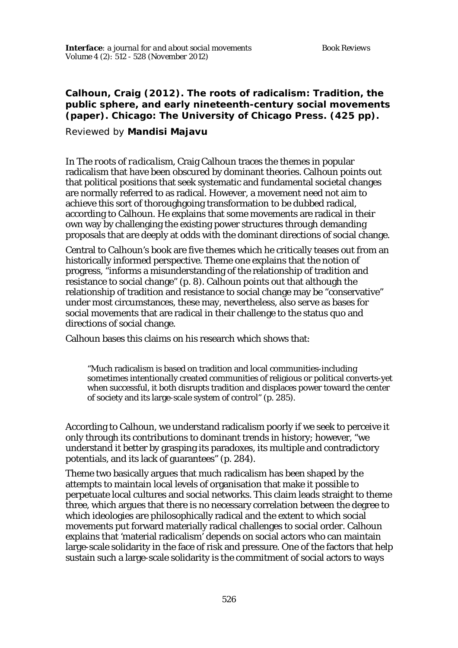# **Calhoun, Craig (2012). The roots of radicalism: Tradition, the public sphere, and early nineteenth-century social movements (paper). Chicago: The University of Chicago Press. (425 pp).**

### Reviewed by **Mandisi Majavu**

In *The roots of radicalism*, Craig Calhoun traces the themes in popular radicalism that have been obscured by dominant theories. Calhoun points out that political positions that seek systematic and fundamental societal changes are normally referred to as radical. However, a movement need not aim to achieve this sort of thoroughgoing transformation to be dubbed radical, according to Calhoun. He explains that some movements are radical in their own way by challenging the existing power structures through demanding proposals that are deeply at odds with the dominant directions of social change.

Central to Calhoun's book are five themes which he critically teases out from an historically informed perspective. Theme one explains that the notion of progress, "informs a misunderstanding of the relationship of tradition and resistance to social change" (p. 8). Calhoun points out that although the relationship of tradition and resistance to social change may be "conservative" under most circumstances, these may, nevertheless, also serve as bases for social movements that are radical in their challenge to the status quo and directions of social change.

Calhoun bases this claims on his research which shows that:

"Much radicalism is based on tradition and local communities-including sometimes intentionally created communities of religious or political converts-yet when successful, it both disrupts tradition and displaces power toward the center of society and its large-scale system of control" (p. 285).

According to Calhoun, we understand radicalism poorly if we seek to perceive it only through its contributions to dominant trends in history; however, "we understand it better by grasping its paradoxes, its multiple and contradictory potentials, and its lack of guarantees" (p. 284).

Theme two basically argues that much radicalism has been shaped by the attempts to maintain local levels of organisation that make it possible to perpetuate local cultures and social networks. This claim leads straight to theme three, which argues that there is no necessary correlation between the degree to which ideologies are philosophically radical and the extent to which social movements put forward materially radical challenges to social order. Calhoun explains that 'material radicalism' depends on social actors who can maintain large-scale solidarity in the face of risk and pressure. One of the factors that help sustain such a large-scale solidarity is the commitment of social actors to ways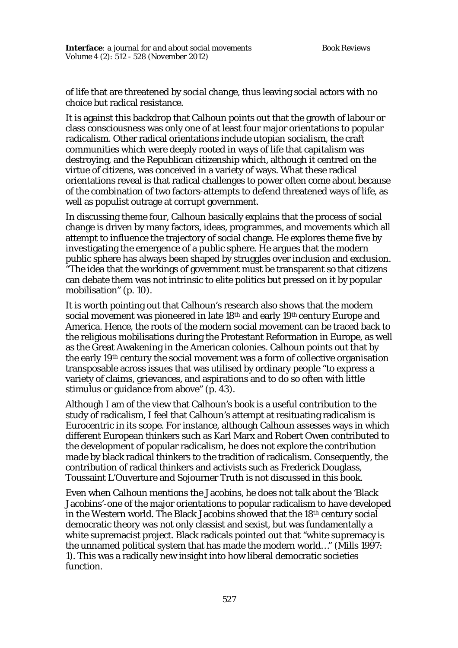of life that are threatened by social change, thus leaving social actors with no choice but radical resistance.

It is against this backdrop that Calhoun points out that the growth of labour or class consciousness was only one of at least four major orientations to popular radicalism. Other radical orientations include utopian socialism, the craft communities which were deeply rooted in ways of life that capitalism was destroying, and the Republican citizenship which, although it centred on the virtue of citizens, was conceived in a variety of ways. What these radical orientations reveal is that radical challenges to power often come about because of the combination of two factors-attempts to defend threatened ways of life, as well as populist outrage at corrupt government.

In discussing theme four, Calhoun basically explains that the process of social change is driven by many factors, ideas, programmes, and movements which all attempt to influence the trajectory of social change. He explores theme five by investigating the emergence of a public sphere. He argues that the modern public sphere has always been shaped by struggles over inclusion and exclusion. "The idea that the workings of government must be transparent so that citizens can debate them was not intrinsic to elite politics but pressed on it by popular mobilisation" (p. 10).

It is worth pointing out that Calhoun's research also shows that the modern social movement was pioneered in late 18<sup>th</sup> and early 19<sup>th</sup> century Europe and America. Hence, the roots of the modern social movement can be traced back to the religious mobilisations during the Protestant Reformation in Europe, as well as the Great Awakening in the American colonies. Calhoun points out that by the early 19<sup>th</sup> century the social movement was a form of collective organisation transposable across issues that was utilised by ordinary people "to express a variety of claims, grievances, and aspirations and to do so often with little stimulus or guidance from above" (p. 43).

Although I am of the view that Calhoun's book is a useful contribution to the study of radicalism, I feel that Calhoun's attempt at resituating radicalism is Eurocentric in its scope. For instance, although Calhoun assesses ways in which different European thinkers such as Karl Marx and Robert Owen contributed to the development of popular radicalism, he does not explore the contribution made by black radical thinkers to the tradition of radicalism. Consequently, the contribution of radical thinkers and activists such as Frederick Douglass, Toussaint L'Ouverture and Sojourner Truth is not discussed in this book.

Even when Calhoun mentions the Jacobins, he does not talk about the 'Black Jacobins'-one of the major orientations to popular radicalism to have developed in the Western world. The Black Jacobins showed that the 18<sup>th</sup> century social democratic theory was not only classist and sexist, but was fundamentally a white supremacist project. Black radicals pointed out that "white supremacy is the unnamed political system that has made the modern world…" (Mills 1997: 1). This was a radically new insight into how liberal democratic societies function.